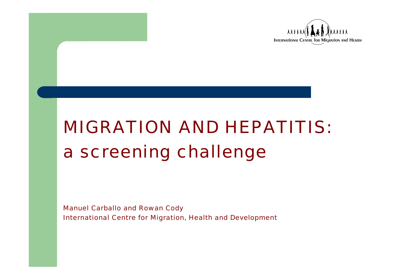

# *MIGRATION AND HEPATITIS:a screening challenge*

*Manuel Carballo and Rowan Cody International Centre for Migration, Health and Development*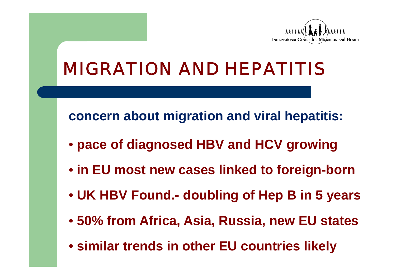

**concern about migration and viral hepatitis:** 

- **pace of diagnosed HBV and HCV growing**
- **in EU most new cases linked to foreign-born**
- **UK HBV Found.- doubling of Hep B in 5 years**
- **50% from Africa, Asia, Russia, new EU states**
- **similar trends in other EU countries likely**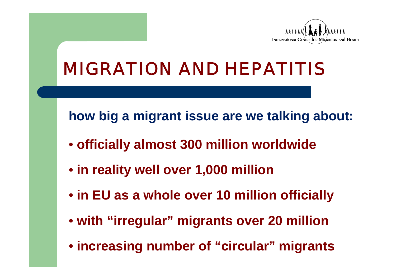

**how big a migrant issue are we talking about:** 

- **officially almost 300 million worldwide**
- **in reality well over 1,000 million**
- **in EU as a whole over 10 million officially**
- **with "irregular" migrants over 20 million**
- **increasing number of "circular" migrants**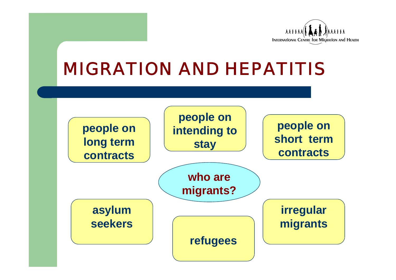

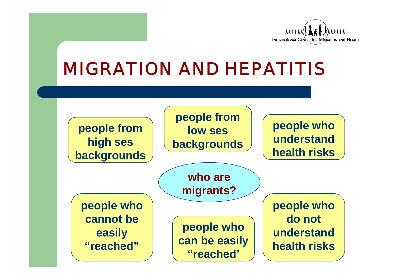

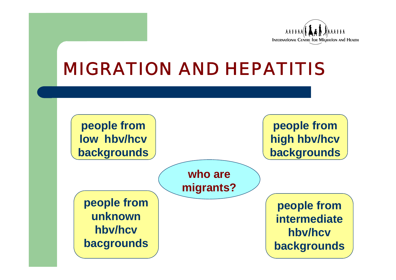

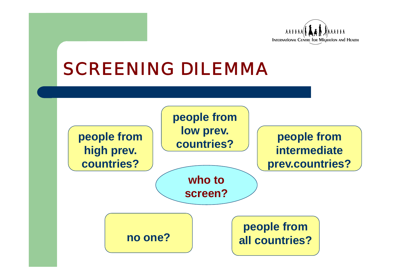

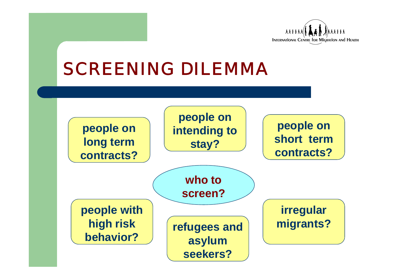

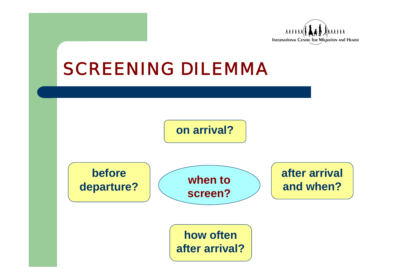